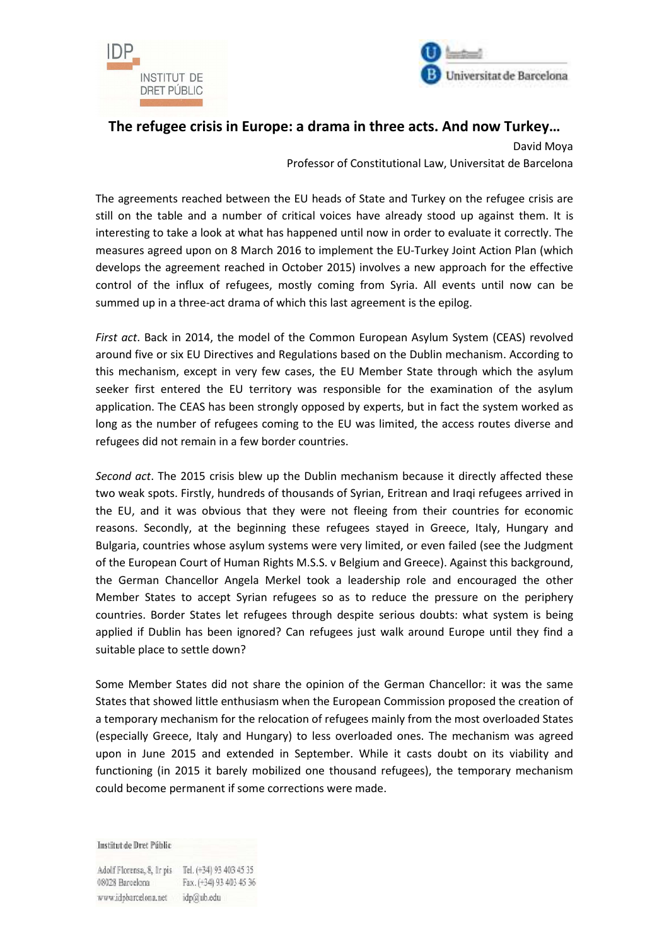



## **The refugee crisis in Europe: a drama in three acts. And now Turkey…**

David Moya Professor of Constitutional Law, Universitat de Barcelona

The agreements reached between the EU heads of State and Turkey on the refugee crisis are still on the table and a number of critical voices have already stood up against them. It is interesting to take a look at what has happened until now in order to evaluate it correctly. The measures agreed upon on 8 March 2016 to implement the EU-Turkey Joint Action Plan (which develops the agreement reached in October 2015) involves a new approach for the effective control of the influx of refugees, mostly coming from Syria. All events until now can be summed up in a three-act drama of which this last agreement is the epilog.

*First act*. Back in 2014, the model of the Common European Asylum System (CEAS) revolved around five or six EU Directives and Regulations based on the Dublin mechanism. According to this mechanism, except in very few cases, the EU Member State through which the asylum seeker first entered the EU territory was responsible for the examination of the asylum application. The CEAS has been strongly opposed by experts, but in fact the system worked as long as the number of refugees coming to the EU was limited, the access routes diverse and refugees did not remain in a few border countries.

*Second act*. The 2015 crisis blew up the Dublin mechanism because it directly affected these two weak spots. Firstly, hundreds of thousands of Syrian, Eritrean and Iraqi refugees arrived in the EU, and it was obvious that they were not fleeing from their countries for economic reasons. Secondly, at the beginning these refugees stayed in Greece, Italy, Hungary and Bulgaria, countries whose asylum systems were very limited, or even failed (see the Judgment of the European Court of Human Rights M.S.S. v Belgium and Greece). Against this background, the German Chancellor Angela Merkel took a leadership role and encouraged the other Member States to accept Syrian refugees so as to reduce the pressure on the periphery countries. Border States let refugees through despite serious doubts: what system is being applied if Dublin has been ignored? Can refugees just walk around Europe until they find a suitable place to settle down?

Some Member States did not share the opinion of the German Chancellor: it was the same States that showed little enthusiasm when the European Commission proposed the creation of a temporary mechanism for the relocation of refugees mainly from the most overloaded States (especially Greece, Italy and Hungary) to less overloaded ones. The mechanism was agreed upon in June 2015 and extended in September. While it casts doubt on its viability and functioning (in 2015 it barely mobilized one thousand refugees), the temporary mechanism could become permanent if some corrections were made.

Institut de Dret Públic

Adolf Florensa, 8, Ir pis Tel. (+34) 93 403 45 35 08028 Barcelona Fax. (+34) 93 403 45 36 www.idpbarcelona.net idp@ub.edu